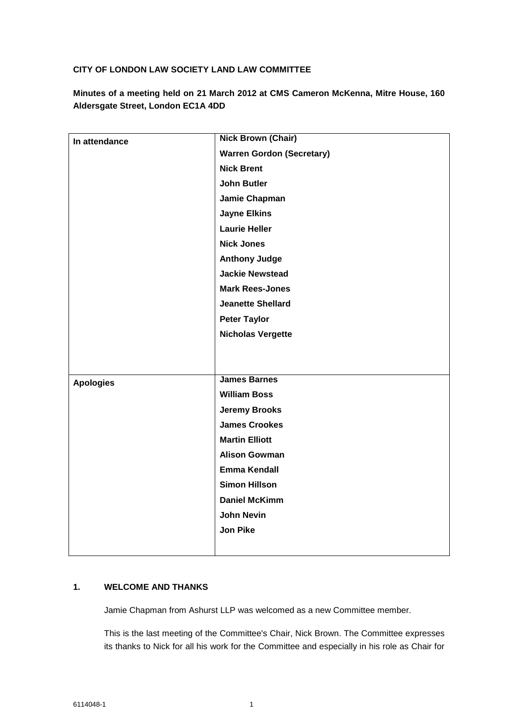# **CITY OF LONDON LAW SOCIETY LAND LAW COMMITTEE**

**Minutes of a meeting held on 21 March 2012 at CMS Cameron McKenna, Mitre House, 160 Aldersgate Street, London EC1A 4DD**

| In attendance    | <b>Nick Brown (Chair)</b>        |
|------------------|----------------------------------|
|                  | <b>Warren Gordon (Secretary)</b> |
|                  | <b>Nick Brent</b>                |
|                  | <b>John Butler</b>               |
|                  | Jamie Chapman                    |
|                  | <b>Jayne Elkins</b>              |
|                  | <b>Laurie Heller</b>             |
|                  | <b>Nick Jones</b>                |
|                  | <b>Anthony Judge</b>             |
|                  | <b>Jackie Newstead</b>           |
|                  | <b>Mark Rees-Jones</b>           |
|                  | <b>Jeanette Shellard</b>         |
|                  | <b>Peter Taylor</b>              |
|                  | <b>Nicholas Vergette</b>         |
|                  |                                  |
|                  |                                  |
| <b>Apologies</b> | <b>James Barnes</b>              |
|                  | <b>William Boss</b>              |
|                  | <b>Jeremy Brooks</b>             |
|                  | <b>James Crookes</b>             |
|                  | <b>Martin Elliott</b>            |
|                  | <b>Alison Gowman</b>             |
|                  | <b>Emma Kendall</b>              |
|                  | <b>Simon Hillson</b>             |
|                  | <b>Daniel McKimm</b>             |
|                  | <b>John Nevin</b>                |
|                  | <b>Jon Pike</b>                  |
|                  |                                  |

## **1. WELCOME AND THANKS**

Jamie Chapman from Ashurst LLP was welcomed as a new Committee member.

This is the last meeting of the Committee's Chair, Nick Brown. The Committee expresses its thanks to Nick for all his work for the Committee and especially in his role as Chair for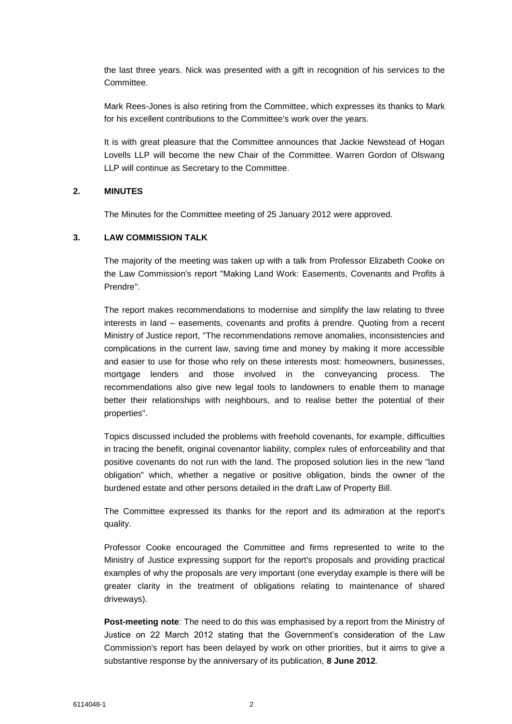the last three years. Nick was presented with a gift in recognition of his services to the Committee.

Mark Rees-Jones is also retiring from the Committee, which expresses its thanks to Mark for his excellent contributions to the Committee's work over the years.

It is with great pleasure that the Committee announces that Jackie Newstead of Hogan Lovells LLP will become the new Chair of the Committee. Warren Gordon of Olswang LLP will continue as Secretary to the Committee.

### **2. MINUTES**

The Minutes for the Committee meeting of 25 January 2012 were approved.

## **3. LAW COMMISSION TALK**

The majority of the meeting was taken up with a talk from Professor Elizabeth Cooke on the Law Commission's report "Making Land Work: Easements, Covenants and Profits à Prendre".

The report makes recommendations to modernise and simplify the law relating to three interests in land – easements, covenants and profits à prendre. Quoting from a recent Ministry of Justice report, "The recommendations remove anomalies, inconsistencies and complications in the current law, saving time and money by making it more accessible and easier to use for those who rely on these interests most: homeowners, businesses, mortgage lenders and those involved in the conveyancing process. The recommendations also give new legal tools to landowners to enable them to manage better their relationships with neighbours, and to realise better the potential of their properties".

Topics discussed included the problems with freehold covenants, for example, difficulties in tracing the benefit, original covenantor liability, complex rules of enforceability and that positive covenants do not run with the land. The proposed solution lies in the new "land obligation" which, whether a negative or positive obligation, binds the owner of the burdened estate and other persons detailed in the draft Law of Property Bill.

The Committee expressed its thanks for the report and its admiration at the report's quality.

Professor Cooke encouraged the Committee and firms represented to write to the Ministry of Justice expressing support for the report's proposals and providing practical examples of why the proposals are very important (one everyday example is there will be greater clarity in the treatment of obligations relating to maintenance of shared driveways).

**Post-meeting note**: The need to do this was emphasised by a report from the Ministry of Justice on 22 March 2012 stating that the Government's consideration of the Law Commission's report has been delayed by work on other priorities, but it aims to give a substantive response by the anniversary of its publication, **8 June 2012**.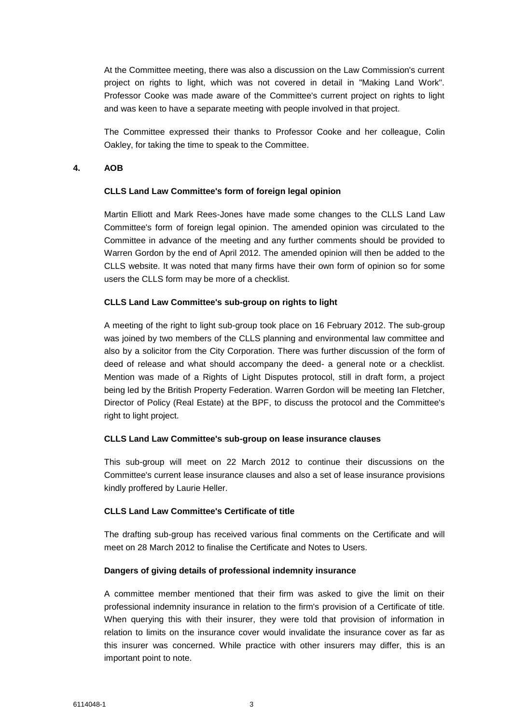At the Committee meeting, there was also a discussion on the Law Commission's current project on rights to light, which was not covered in detail in "Making Land Work". Professor Cooke was made aware of the Committee's current project on rights to light and was keen to have a separate meeting with people involved in that project.

The Committee expressed their thanks to Professor Cooke and her colleague, Colin Oakley, for taking the time to speak to the Committee.

### **4. AOB**

## **CLLS Land Law Committee's form of foreign legal opinion**

Martin Elliott and Mark Rees-Jones have made some changes to the CLLS Land Law Committee's form of foreign legal opinion. The amended opinion was circulated to the Committee in advance of the meeting and any further comments should be provided to Warren Gordon by the end of April 2012. The amended opinion will then be added to the CLLS website. It was noted that many firms have their own form of opinion so for some users the CLLS form may be more of a checklist.

### **CLLS Land Law Committee's sub-group on rights to light**

A meeting of the right to light sub-group took place on 16 February 2012. The sub-group was joined by two members of the CLLS planning and environmental law committee and also by a solicitor from the City Corporation. There was further discussion of the form of deed of release and what should accompany the deed- a general note or a checklist. Mention was made of a Rights of Light Disputes protocol, still in draft form, a project being led by the British Property Federation. Warren Gordon will be meeting Ian Fletcher, Director of Policy (Real Estate) at the BPF, to discuss the protocol and the Committee's right to light project.

### **CLLS Land Law Committee's sub-group on lease insurance clauses**

This sub-group will meet on 22 March 2012 to continue their discussions on the Committee's current lease insurance clauses and also a set of lease insurance provisions kindly proffered by Laurie Heller.

### **CLLS Land Law Committee's Certificate of title**

The drafting sub-group has received various final comments on the Certificate and will meet on 28 March 2012 to finalise the Certificate and Notes to Users.

# **Dangers of giving details of professional indemnity insurance**

A committee member mentioned that their firm was asked to give the limit on their professional indemnity insurance in relation to the firm's provision of a Certificate of title. When querying this with their insurer, they were told that provision of information in relation to limits on the insurance cover would invalidate the insurance cover as far as this insurer was concerned. While practice with other insurers may differ, this is an important point to note.